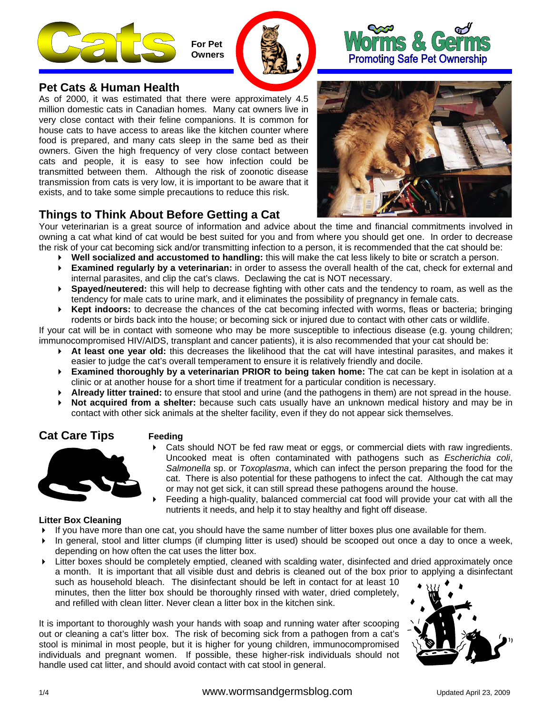

 **For Pet \ Owners** 





# **Pet Cats & Human Health**

As of 2000, it was estimated that there were approximately 4.5 million domestic cats in Canadian homes. Many cat owners live in very close contact with their feline companions. It is common for house cats to have access to areas like the kitchen counter where food is prepared, and many cats sleep in the same bed as their owners. Given the high frequency of very close contact between cats and people, it is easy to see how infection could be transmitted between them. Although the risk of zoonotic disease transmission from cats is very low, it is important to be aware that it exists, and to take some simple precautions to reduce this risk.



# **Things to Think About Before Getting a Cat**

Your veterinarian is a great source of information and advice about the time and financial commitments involved in owning a cat what kind of cat would be best suited for you and from where you should get one. In order to decrease the risk of your cat becoming sick and/or transmitting infection to a person, it is recommended that the cat should be:

- **Well socialized and accustomed to handling:** this will make the cat less likely to bite or scratch a person.
- **Examined regularly by a veterinarian:** in order to assess the overall health of the cat, check for external and internal parasites, and clip the cat's claws. Declawing the cat is NOT necessary.
- **Spayed/neutered:** this will help to decrease fighting with other cats and the tendency to roam, as well as the tendency for male cats to urine mark, and it eliminates the possibility of pregnancy in female cats.
- **Kept indoors:** to decrease the chances of the cat becoming infected with worms, fleas or bacteria; bringing rodents or birds back into the house; or becoming sick or injured due to contact with other cats or wildlife.

If your cat will be in contact with someone who may be more susceptible to infectious disease (e.g. young children; immunocompromised HIV/AIDS, transplant and cancer patients), it is also recommended that your cat should be:

- **At least one year old:** this decreases the likelihood that the cat will have intestinal parasites, and makes it easier to judge the cat's overall temperament to ensure it is relatively friendly and docile.
- **Examined thoroughly by a veterinarian PRIOR to being taken home:** The cat can be kept in isolation at a clinic or at another house for a short time if treatment for a particular condition is necessary.
- **Already litter trained:** to ensure that stool and urine (and the pathogens in them) are not spread in the house.
- **Not acquired from a shelter:** because such cats usually have an unknown medical history and may be in contact with other sick animals at the shelter facility, even if they do not appear sick themselves.

# **Cat Care Tips Feeding**



- Cats should NOT be fed raw meat or eggs, or commercial diets with raw ingredients. Uncooked meat is often contaminated with pathogens such as *Escherichia coli*, *Salmonella* sp. or *Toxoplasma*, which can infect the person preparing the food for the cat. There is also potential for these pathogens to infect the cat. Although the cat may or may not get sick, it can still spread these pathogens around the house.
- Feeding a high-quality, balanced commercial cat food will provide your cat with all the nutrients it needs, and help it to stay healthy and fight off disease.

#### **Litter Box Cleaning**

- If you have more than one cat, you should have the same number of litter boxes plus one available for them.
- In general, stool and litter clumps (if clumping litter is used) should be scooped out once a day to once a week, depending on how often the cat uses the litter box.
- Litter boxes should be completely emptied, cleaned with scalding water, disinfected and dried approximately once a month. It is important that all visible dust and debris is cleaned out of the box prior to applying a disinfectant such as household bleach. The disinfectant should be left in contact for at least 10 minutes, then the litter box should be thoroughly rinsed with water, dried completely, and refilled with clean litter. Never clean a litter box in the kitchen sink.

It is important to thoroughly wash your hands with soap and running water after scooping out or cleaning a cat's litter box. The risk of becoming sick from a pathogen from a cat's stool is minimal in most people, but it is higher for young children, immunocompromised individuals and pregnant women. If possible, these higher-risk individuals should not handle used cat litter, and should avoid contact with cat stool in general.

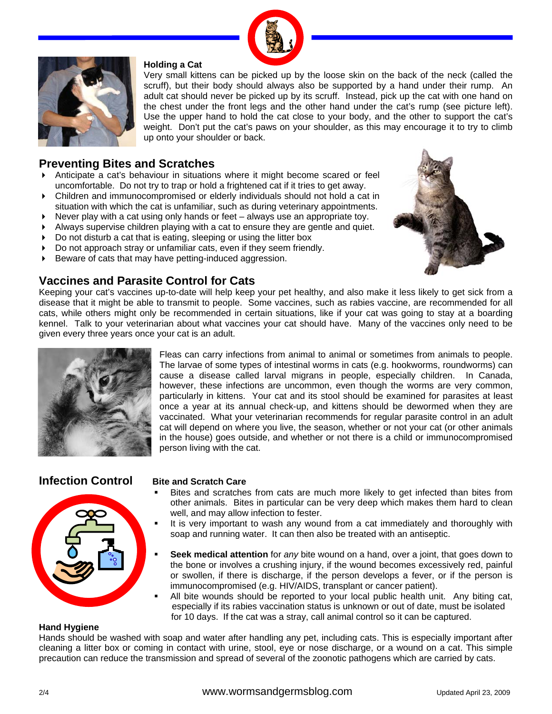



#### **Holding a Cat**

Very small kittens can be picked up by the loose skin on the back of the neck (called the scruff), but their body should always also be supported by a hand under their rump. An adult cat should never be picked up by its scruff. Instead, pick up the cat with one hand on the chest under the front legs and the other hand under the cat's rump (see picture left). Use the upper hand to hold the cat close to your body, and the other to support the cat's weight. Don't put the cat's paws on your shoulder, as this may encourage it to try to climb up onto your shoulder or back.

# **Preventing Bites and Scratches**

- Anticipate a cat's behaviour in situations where it might become scared or feel uncomfortable. Do not try to trap or hold a frightened cat if it tries to get away.
- Children and immunocompromised or elderly individuals should not hold a cat in situation with which the cat is unfamiliar, such as during veterinary appointments.
- $\triangleright$  Never play with a cat using only hands or feet always use an appropriate toy.
- Always supervise children playing with a cat to ensure they are gentle and quiet.
- Do not disturb a cat that is eating, sleeping or using the litter box
- ▶ Do not approach stray or unfamiliar cats, even if they seem friendly.
- Beware of cats that may have petting-induced aggression.

# **Vaccines and Parasite Control for Cats**



Keeping your cat's vaccines up-to-date will help keep your pet healthy, and also make it less likely to get sick from a disease that it might be able to transmit to people. Some vaccines, such as rabies vaccine, are recommended for all cats, while others might only be recommended in certain situations, like if your cat was going to stay at a boarding kennel. Talk to your veterinarian about what vaccines your cat should have. Many of the vaccines only need to be given every three years once your cat is an adult.



Fleas can carry infections from animal to animal or sometimes from animals to people. The larvae of some types of intestinal worms in cats (e.g. hookworms, roundworms) can cause a disease called larval migrans in people, especially children. In Canada, however, these infections are uncommon, even though the worms are very common, particularly in kittens. Your cat and its stool should be examined for parasites at least once a year at its annual check-up, and kittens should be dewormed when they are vaccinated. What your veterinarian recommends for regular parasite control in an adult cat will depend on where you live, the season, whether or not your cat (or other animals in the house) goes outside, and whether or not there is a child or immunocompromised person living with the cat.

## **Infection Control**



#### **Bite and Scratch Care**

- **Bites and scratches from cats are much more likely to get infected than bites from** other animals. Bites in particular can be very deep which makes them hard to clean well, and may allow infection to fester.
- $\blacksquare$  It is very important to wash any wound from a cat immediately and thoroughly with soap and running water. It can then also be treated with an antiseptic.
- **Seek medical attention** for *any* bite wound on a hand, over a joint, that goes down to the bone or involves a crushing injury, if the wound becomes excessively red, painful or swollen, if there is discharge, if the person develops a fever, or if the person is immunocompromised (e.g. HIV/AIDS, transplant or cancer patient).
- All bite wounds should be reported to your local public health unit. Any biting cat, especially if its rabies vaccination status is unknown or out of date, must be isolated for 10 days. If the cat was a stray, call animal control so it can be captured.

#### **Hand Hygiene**

Hands should be washed with soap and water after handling any pet, including cats. This is especially important after cleaning a litter box or coming in contact with urine, stool, eye or nose discharge, or a wound on a cat. This simple precaution can reduce the transmission and spread of several of the zoonotic pathogens which are carried by cats.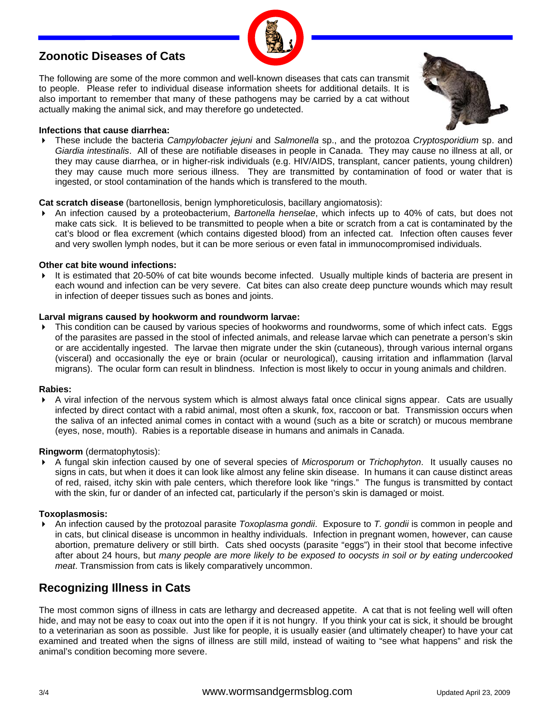# **Zoonotic Diseases of Cats**

The following are some of the more common and well-known diseases that cats can transmit to people. Please refer to individual disease information sheets for additional details. It is also important to remember that many of these pathogens may be carried by a cat without actually making the animal sick, and may therefore go undetected.

#### **Infections that cause diarrhea:**

 These include the bacteria *Campylobacter jejuni* and *Salmonella* sp., and the protozoa *Cryptosporidium* sp. and *Giardia intestinalis*. All of these are notifiable diseases in people in Canada. They may cause no illness at all, or they may cause diarrhea, or in higher-risk individuals (e.g. HIV/AIDS, transplant, cancer patients, young children) they may cause much more serious illness. They are transmitted by contamination of food or water that is ingested, or stool contamination of the hands which is transfered to the mouth.

#### **Cat scratch disease** (bartonellosis, benign lymphoreticulosis, bacillary angiomatosis):

 An infection caused by a proteobacterium, *Bartonella henselae*, which infects up to 40% of cats, but does not make cats sick. It is believed to be transmitted to people when a bite or scratch from a cat is contaminated by the cat's blood or flea excrement (which contains digested blood) from an infected cat. Infection often causes fever and very swollen lymph nodes, but it can be more serious or even fatal in immunocompromised individuals.

#### **Other cat bite wound infections:**

It is estimated that 20-50% of cat bite wounds become infected. Usually multiple kinds of bacteria are present in each wound and infection can be very severe. Cat bites can also create deep puncture wounds which may result in infection of deeper tissues such as bones and joints.

#### **Larval migrans caused by hookworm and roundworm larvae:**

This condition can be caused by various species of hookworms and roundworms, some of which infect cats. Eggs of the parasites are passed in the stool of infected animals, and release larvae which can penetrate a person's skin or are accidentally ingested. The larvae then migrate under the skin (cutaneous), through various internal organs (visceral) and occasionally the eye or brain (ocular or neurological), causing irritation and inflammation (larval migrans). The ocular form can result in blindness. Infection is most likely to occur in young animals and children.

#### **Rabies:**

 A viral infection of the nervous system which is almost always fatal once clinical signs appear. Cats are usually infected by direct contact with a rabid animal, most often a skunk, fox, raccoon or bat. Transmission occurs when the saliva of an infected animal comes in contact with a wound (such as a bite or scratch) or mucous membrane (eyes, nose, mouth). Rabies is a reportable disease in humans and animals in Canada.

#### **Ringworm** (dermatophytosis):

 A fungal skin infection caused by one of several species of *Microsporum* or *Trichophyton*. It usually causes no signs in cats, but when it does it can look like almost any feline skin disease. In humans it can cause distinct areas of red, raised, itchy skin with pale centers, which therefore look like "rings." The fungus is transmitted by contact with the skin, fur or dander of an infected cat, particularly if the person's skin is damaged or moist.

#### **Toxoplasmosis:**

 An infection caused by the protozoal parasite *Toxoplasma gondii*. Exposure to *T. gondii* is common in people and in cats, but clinical disease is uncommon in healthy individuals. Infection in pregnant women, however, can cause abortion, premature delivery or still birth. Cats shed oocysts (parasite "eggs") in their stool that become infective after about 24 hours, but *many people are more likely to be exposed to oocysts in soil or by eating undercooked meat*. Transmission from cats is likely comparatively uncommon.

# **Recognizing Illness in Cats**

The most common signs of illness in cats are lethargy and decreased appetite. A cat that is not feeling well will often hide, and may not be easy to coax out into the open if it is not hungry. If you think your cat is sick, it should be brought to a veterinarian as soon as possible. Just like for people, it is usually easier (and ultimately cheaper) to have your cat examined and treated when the signs of illness are still mild, instead of waiting to "see what happens" and risk the animal's condition becoming more severe.